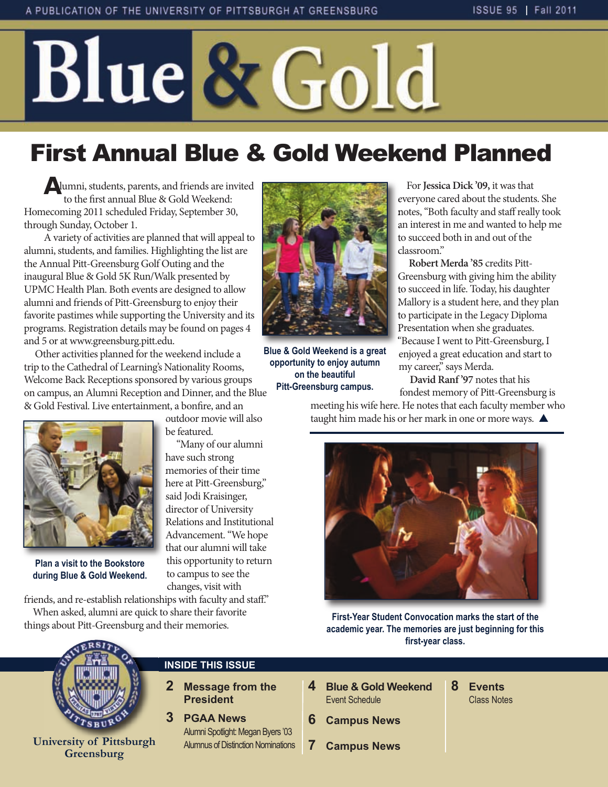# Blue & Gold

# First Annual Blue & Gold Weekend Planned

**A**lumni, students, parents, and friends are invited to the first annual Blue & Gold Weekend: Homecoming 2011 scheduled Friday, September 30, through Sunday, October 1.

A variety of activities are planned that will appeal to alumni, students, and families. Highlighting the list are the Annual Pitt-Greensburg Golf Outing and the inaugural Blue & Gold 5K Run/Walk presented by UPMC Health Plan. Both events are designed to allow alumni and friends of Pitt-Greensburg to enjoy their favorite pastimes while supporting the University and its programs. Registration details may be found on pages 4 and 5 or at www.greensburg.pitt.edu.

Other activities planned for the weekend include a trip to the Cathedral of Learning's Nationality Rooms, Welcome Back Receptions sponsored by various groups on campus, an Alumni Reception and Dinner, and the Blue & Gold Festival. Live entertainment, a bonfire, and an outdoor movie will also

be featured.

have such strong memories of their time here at Pitt-Greensburg," said Jodi Kraisinger, director of University Relations and Institutional Advancement. "We hope that our alumni will take this opportunity to return to campus to see the changes, visit with

"Many of our alumni



**Plan a visit to the Bookstore during Blue & Gold Weekend.**

friends, and re-establish relationships with faculty and staff." When asked, alumni are quick to share their favorite things about Pitt-Greensburg and their memories.



**Blue & Gold Weekend is a great opportunity to enjoy autumn on the beautiful Pitt-Greensburg campus.**

For **Jessica Dick '09,** it was that everyone cared about the students. She notes, "Both faculty and staff really took an interest in me and wanted to help me to succeed both in and out of the classroom."

**Robert Merda '85** credits Pitt-Greensburg with giving him the ability to succeed in life. Today, his daughter Mallory is a student here, and they plan to participate in the Legacy Diploma Presentation when she graduates. "Because I went to Pitt-Greensburg, I enjoyed a great education and start to my career," says Merda.

**David Ranf '97** notes that his fondest memory of Pitt-Greensburg is

meeting his wife here. He notes that each faculty member who taught him made his or her mark in one or more ways.  $\blacktriangle$ 



**First-Year Student Convocation marks the start of the academic year. The memories are just beginning for this first-year class.** 



**University of Pittsburgh Greensburg**

#### **INSIDE THIS ISSUE**

- **2 Message from the President**
- **3 PGAA News** Alumni Spotlight: Megan Byers '03 Alumnus of Distinction Nominations
- **4 Blue & Gold Weekend Event Schedule**
- **6 Campus News**
- **7 Campus News**
- **8 Events**  Class Notes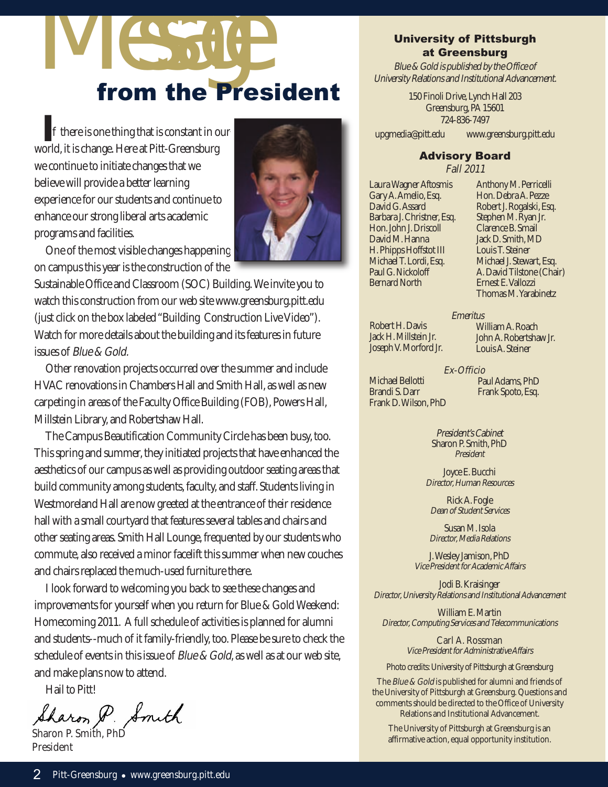# IV ESSAGE

**I**f there is one thing that is constant in our world, it is change. Here at Pitt-Greensburg we continue to initiate changes that we believe will provide a better learning experience for our students and continue to enhance our strong liberal arts academic programs and facilities.



One of the most visible changes happening on campus this year is the construction of the

Sustainable Office and Classroom (SOC) Building. We invite you to watch this construction from our web site www.greensburg.pitt.edu (just click on the box labeled "Building Construction Live Video"). Watch for more details about the building and its features in future issues of Blue & Gold.

Other renovation projects occurred over the summer and include HVAC renovations in Chambers Hall and Smith Hall, as well as new carpeting in areas of the Faculty Office Building (FOB), Powers Hall, Millstein Library, and Robertshaw Hall.

The Campus Beautification Community Circle has been busy, too. This spring and summer, they initiated projects that have enhanced the aesthetics of our campus as well as providing outdoor seating areas that build community among students, faculty, and staff. Students living in Westmoreland Hall are now greeted at the entrance of their residence hall with a small courtyard that features several tables and chairs and other seating areas. Smith Hall Lounge, frequented by our students who commute, also received a minor facelift this summer when new couches and chairs replaced the much-used furniture there.

I look forward to welcoming you back to see these changes and improvements for yourself when you return for Blue & Gold Weekend: Homecoming 2011. A full schedule of activities is planned for alumni and students--much of it family-friendly, too. Please be sure to check the schedule of events in this issue of *Blue & Gold*, as well as at our web site, and make plans now to attend.

Hail to Pitt!

haron P. Smith

President

#### University of Pittsburgh at Greensburg

Blue & Gold is published by the Office of University Relations and Institutional Advancement.

> 150 Finoli Drive, Lynch Hall 203 Greensburg, PA 15601 724-836-7497

upgmedia@pitt.edu www.greensburg.pitt.edu

## Advisory Board

Fall 2011

Laura Wagner Aftosmis Gary A. Amelio, Esq. David G. Assard Barbara J. Christner, Esq. Hon. John J. Driscoll David M. Hanna H. Phipps Hoffstot III Michael T. Lordi, Esq. Paul G. Nickoloff Bernard North

Anthony M. Perricelli Hon. Debra A. Pezze Robert J. Rogalski, Esq. Stephen M. Ryan Jr. Clarence B. Smail Jack D. Smith, MD Louis T. Steiner Michael J. Stewart, Esq. A. David Tilstone (Chair) Ernest E. Vallozzi Thomas M. Yarabinetz

Robert H. Davis Jack H. Millstein Jr. Joseph V. Morford Jr. **Emeritus** William A. Roach John A. Robertshaw Jr. Louis A. Steiner

Michael Bellotti Brandi S. Darr Frank D. Wilson, PhD

Ex-Officio Paul Adams, PhD Frank Spoto, Esq.

President's Cabinet Sharon P. Smith, PhD President

Joyce E. Bucchi Director, Human Resources

Rick A. Fogle Dean of Student Services

Susan M. Isola Director, Media Relations

J. Wesley Jamison, PhD Vice President for Academic Affairs

Jodi B. Kraisinger Director, University Relations and Institutional Advancement

William E. Martin Director, Computing Services and Telecommunications

> Carl A. Rossman Vice President for Administrative Affairs

Photo credits: University of Pittsburgh at Greensburg

The *Blue & Gold* is published for alumni and friends of the University of Pittsburgh at Greensburg. Questions and comments should be directed to the Office of University Relations and Institutional Advancement.

The University of Pittsburgh at Greensburg is an affirmative action, equal opportunity institution.<br>
The University of Pittsburgh at Greensburg is an affirmative action, equal opportunity institution.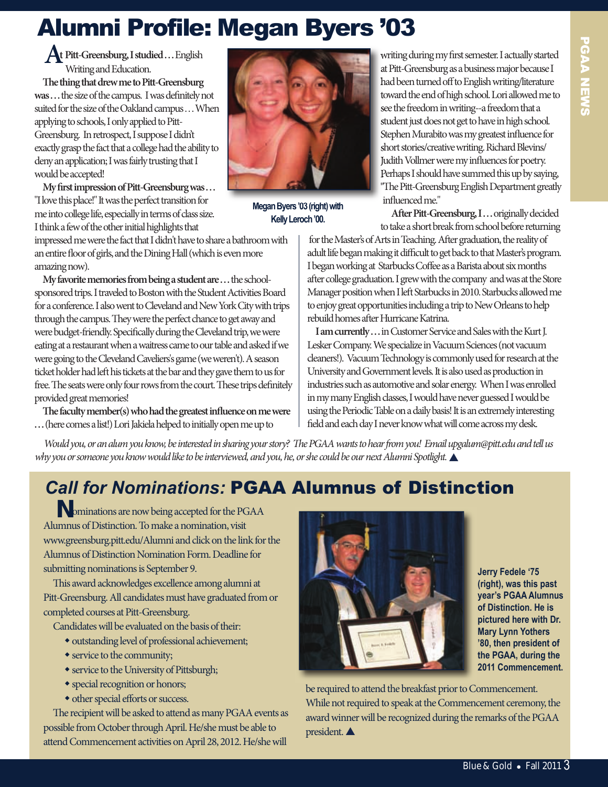# Alumni Profile: Megan Byers '03

**At Pitt-Greensburg, I studied . . .** English Writing and Education.

**e thing that drew me to Pitt-Greensburg was . . .** the size of the campus. I was definitely not suited for the size of the Oakland campus . . . When applying to schools, I only applied to Pitt-Greensburg. In retrospect, I suppose I didn't exactly grasp the fact that a college had the ability to deny an application; I was fairly trusting that I would be accepted!

**My first impression of Pitt-Greensburg was . . .**  "I love this place!" It was the perfect transition for me into college life, especially in terms of class size. I think a few of the other initial highlights that

impressed me were the fact that I didn't have to share a bathroom with an entire floor of girls, and the Dining Hall (which is even more amazing now).

**My favorite memories from being a student are . . .** the schoolsponsored trips. I traveled to Boston with the Student Activities Board for a conference. I also went to Cleveland and New York City with trips through the campus. They were the perfect chance to get away and were budget-friendly. Specifically during the Cleveland trip, we were eating at a restaurant when a waitress came to our table and asked if we were going to the Cleveland Caveliers's game (we weren't). A season ticket holder had left his tickets at the bar and they gave them to us for free. The seats were only four rows from the court. These trips definitely provided great memories!

**e faculty member(s) who had the greatest influence on me were . . .** (here comes a list!) Lori Jakiela helped to initially open me up to



**Megan Byers '03 (right) with Kelly Leroch '00.**

writing during my first semester. I actually started at Pitt-Greensburg as a business major because I had been turned off to English writing/literature toward the end of high school. Lori allowed me to see the freedom in writing--a freedom that a student just does not get to have in high school. Stephen Murabito was my greatest influence for short stories/creative writing. Richard Blevins/ Judith Vollmer were my influences for poetry. Perhaps I should have summed this up by saying, "The Pitt-Greensburg English Department greatly influenced me."

After Pitt-Greensburg, I... originally decided to take a short break from school before returning

for the Master's of Arts in Teaching. After graduation, the reality of adult life began making it difficult to get back to that Master's program. I began working at Starbucks Coffee as a Barista about six months after college graduation. I grew with the company and was at the Store Manager position when I left Starbucks in 2010. Starbucks allowed me to enjoy great opportunities including a trip to New Orleans to help rebuild homes after Hurricane Katrina.

I am currently ... in Customer Service and Sales with the Kurt J. Lesker Company. We specialize in Vacuum Sciences (not vacuum cleaners!). Vacuum Technology is commonly used for research at the University and Government levels. It is also used as production in industries such as automotive and solar energy. When I was enrolled in my many English classes, I would have never guessed I would be using the Periodic Table on a daily basis! It is an extremely interesting field and each day I never know what will come across my desk.

Would you, or an alum you know, be interested in sharing your story? The PGAA wants to hear from you! Email upgalum@pitt.edu and tell us why you or someone you know would like to be interviewed, and you, he, or she could be our next Alumni Spotlight.

## *Call for Nominations:* PGAA Alumnus of Distinction

**N**ominations are now being accepted for the PGAA Alumnus of Distinction. To make a nomination, visit www.greensburg.pitt.edu/Alumni and click on the link for the Alumnus of Distinction Nomination Form. Deadline for submitting nominations is September 9.

This award acknowledges excellence among alumni at Pitt-Greensburg. All candidates must have graduated from or completed courses at Pitt-Greensburg.

Candidates will be evaluated on the basis of their:

- $\bullet$  outstanding level of professional achievement;
- $\bullet$  service to the community;
- service to the University of Pittsburgh;
- special recognition or honors;
- $\bullet$  other special efforts or success.

The recipient will be asked to attend as many PGAA events as possible from October through April. He/she must be able to attend Commencement activities on April 28, 2012. He/she will



**Jerry Fedele '75 (right), was this past year's PGAA Alumnus of Distinction. He is pictured here with Dr. Mary Lynn Yothers '80, then president of the PGAA, during the 2011 Commencement.**

be required to attend the breakfast prior to Commencement. While not required to speak at the Commencement ceremony, the award winner will be recognized during the remarks of the PGAA president. $\triangle$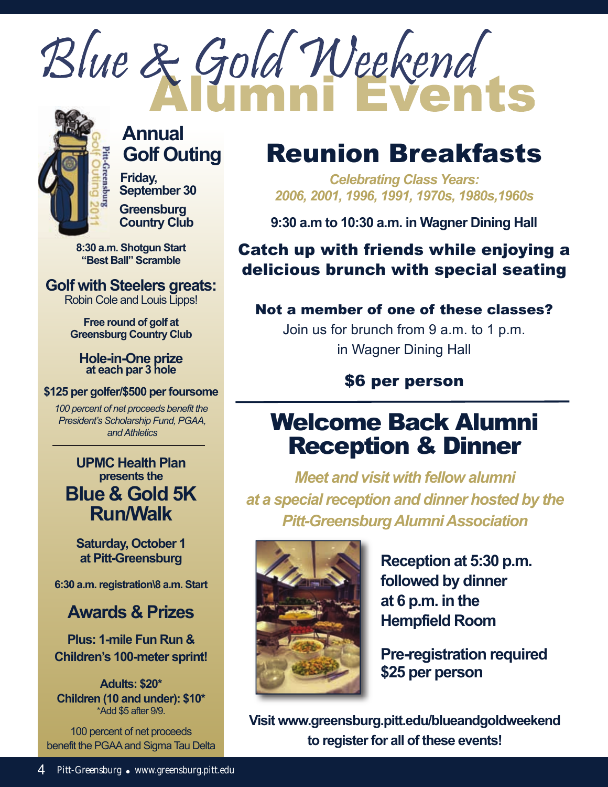



## **Annual Golf Outing**

**Friday, September 30**

**Greensburg Country Club**

**8:30 a.m. Shotgun Start "Best Ball" Scramble**

**Golf with Steelers greats:** Robin Cole and Louis Lipps!

> **Free round of golf at Greensburg Country Club**

**Hole-in-One prize at each par 3 hole**

#### **\$125 per golfer/\$500 per foursome**

*100 percent of net proceeds benefit the President's Scholarship Fund, PGAA, and Athletics*

**UPMC Health Plan presents the Blue & Gold 5K Run/Walk**

**Saturday, October 1 at Pitt-Greensburg** 

**6:30 a.m. registration\8 a.m. Start**

## **Awards & Prizes**

**Plus: 1-mile Fun Run & Children's 100-meter sprint!**

**Adults: \$20\* Children (10 and under): \$10\*** \*Add \$5 after 9/9.

100 percent of net proceeds benefit the PGAA and Sigma Tau Delta

# Reunion Breakfasts

*Celebrating Class Years: 2006, 2001, 1996, 1991, 1970s, 1980s,1960s*

**9:30 a.m to 10:30 a.m. in Wagner Dining Hall**

## Catch up with friends while enjoying a delicious brunch with special seating

### Not a member of one of these classes?

Join us for brunch from 9 a.m. to 1 p.m. in Wagner Dining Hall

## \$6 per person

## Welcome Back Alumni Reception & Dinner

*Meet and visit with fellow alumni at a special reception and dinner hosted by the Pitt-Greensburg Alumni Association*



**Reception at 5:30 p.m. followed by dinner at 6 p.m. in the Hempfield Room**

**Pre-registration required \$25 per person**

**Visit www.greensburg.pitt.edu/blueandgoldweekend to register for all of these events!**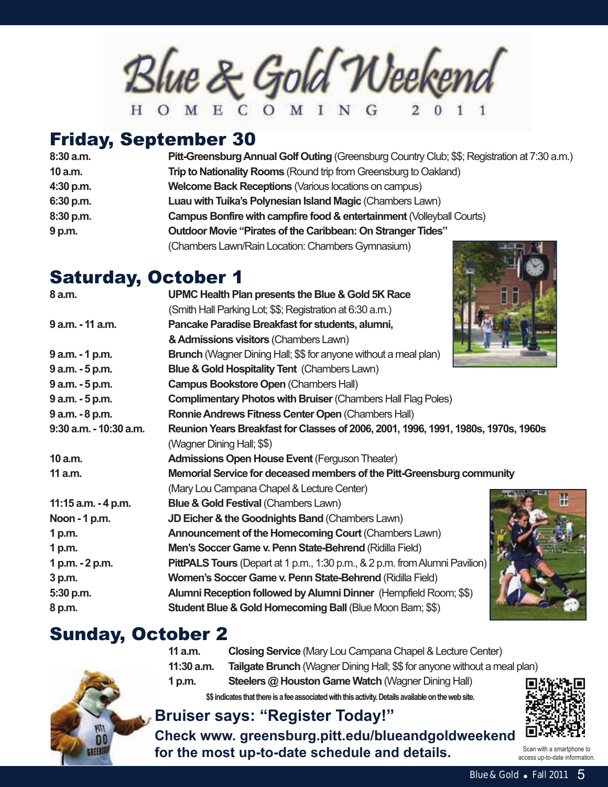$\mathcal{B}$ lue & Gold Weekend

## Friday, september 30

| 8:30 a.m. | Pitt-Greensburg Annual Golf Outing (Greensburg Country Club; \$\$; Registration at 7:30 a.m.) |
|-----------|-----------------------------------------------------------------------------------------------|
| 10 a.m.   | <b>Trip to Nationality Rooms</b> (Round trip from Greensburg to Oakland)                      |
| 4:30 p.m. | <b>Welcome Back Receptions (Various locations on campus)</b>                                  |
| 6:30 p.m. | Luau with Tuika's Polynesian Island Magic (Chambers Lawn)                                     |
| 8:30 p.m. | Campus Bonfire with campfire food & entertainment (Volleyball Courts)                         |
| 9 p.m.    | Outdoor Movie "Pirates of the Caribbean: On Stranger Tides"                                   |
|           | (Chambers Lawn/Rain Location: Chambers Gymnasium)                                             |

## saturday, October 1

| 8 a.m.                 | UPMC Health Plan presents the Blue & Gold 5K Race                                  |
|------------------------|------------------------------------------------------------------------------------|
|                        | (Smith Hall Parking Lot; \$\$; Registration at 6:30 a.m.)                          |
| 9 a.m. - 11 a.m.       | Pancake Paradise Breakfast for students, alumni,                                   |
|                        | & Admissions visitors (Chambers Lawn)                                              |
| 9 a.m. - 1 p.m.        | <b>Brunch</b> (Wagner Dining Hall; \$\$ for anyone without a meal plan)            |
| 9 a.m. - 5 p.m.        | <b>Blue &amp; Gold Hospitality Tent (Chambers Lawn)</b>                            |
| 9 a.m. - 5 p.m.        | <b>Campus Bookstore Open (Chambers Hall)</b>                                       |
| 9 a.m. - 5 p.m.        | <b>Complimentary Photos with Bruiser (Chambers Hall Flag Poles)</b>                |
| 9 a.m. - 8 p.m.        | Ronnie Andrews Fitness Center Open (Chambers Hall)                                 |
| 9:30 a.m. - 10:30 a.m. | Reunion Years Breakfast for Classes of 2006, 2001, 1996, 1991, 1980s, 1970s, 1960s |
|                        | (Wagner Dining Hall; \$\$)                                                         |
| 10 a.m.                | <b>Admissions Open House Event (Ferguson Theater)</b>                              |
| 11 a.m.                | Memorial Service for deceased members of the Pitt-Greensburg community             |
|                        | (Mary Lou Campana Chapel & Lecture Center)                                         |
| 11:15 a.m. - 4 p.m.    | <b>Blue &amp; Gold Festival (Chambers Lawn)</b>                                    |
| Noon - 1 p.m.          | JD Eicher & the Goodnights Band (Chambers Lawn)                                    |
| 1 p.m.                 | Announcement of the Homecoming Court (Chambers Lawn)                               |
| 1 p.m.                 | Men's Soccer Game v. Penn State-Behrend (Ridilla Field)                            |
| 1 p.m. - 2 p.m.        | <b>PittPALS Tours</b> (Depart at 1 p.m., 1:30 p.m., & 2 p.m. from Alumni Pavilion) |
| 3 p.m.                 | Women's Soccer Game v. Penn State-Behrend (Ridilla Field)                          |
| 5:30 p.m.              | Alumni Reception followed by Alumni Dinner (Hempfield Room; \$\$)                  |
| 8 p.m.                 | <b>Student Blue &amp; Gold Homecoming Ball (Blue Moon Barn; \$\$)</b>              |
|                        |                                                                                    |

## sunday, October 2



#### **11 a.m. Closing Service** (Mary Lou Campana Chapel & Lecture Center) **11:30 a.m. Tailgate Brunch** (Wagner Dining Hall; \$\$ for anyone without a meal plan) **1 p.m. Steelers @ Houston Game Watch** (Wagner Dining Hall) **\$\$ indicates that there is a fee associated with this activity. Details available on the web site.**

## **Bruiser says: "Register Today!"**

**Check www. greensburg.pitt.edu/blueandgoldweekend for the most up-to-date schedule and details.** Scan with a smartphone to



Blue & Gold • Fall  $2011$  5 access up-to-date information.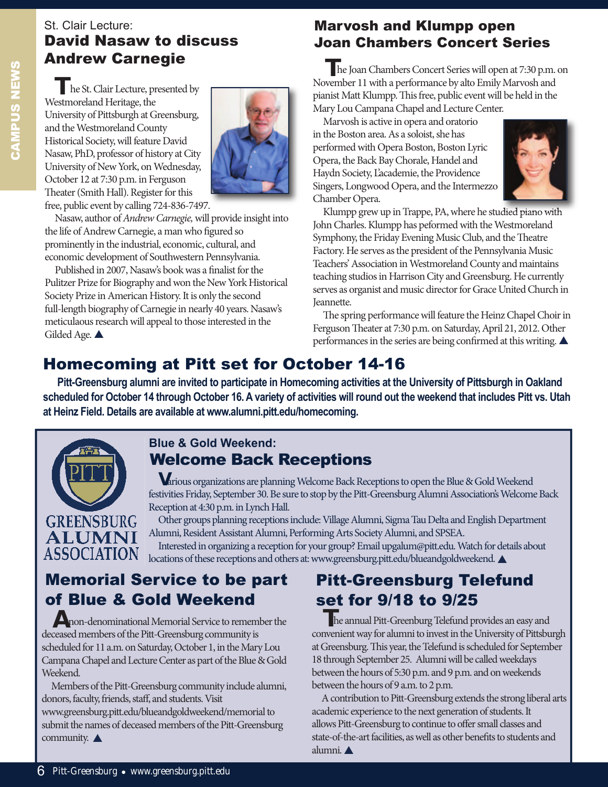## St. Clair Lecture: David Nasaw to discuss

**T**he St. Clair Lecture, presented by Westmoreland Heritage, the University of Pittsburgh at Greensburg, and the Westmoreland County Historical Society, will feature David Nasaw, PhD, professor of history at City University of New York, on Wednesday, October 12 at 7:30 p.m. in Ferguson Theater (Smith Hall). Register for this free, public event by calling 724-836-7497.



Nasaw, author of Andrew Carnegie, will provide insight into the life of Andrew Carnegie, a man who figured so prominently in the industrial, economic, cultural, and economic development of Southwestern Pennsylvania.

Published in 2007, Nasaw's book was a finalist for the Pulitzer Prize for Biography and won the New York Historical Society Prize in American History. It is only the second full-length biography of Carnegie in nearly 40 years. Nasaw's meticulaous research will appeal to those interested in the Gilded Age.  $\triangle$ 

## Marvosh and Klumpp open Joan Chambers Concert series

Andrew Carnegie **The Joan Chambers Concert Series will open at 7:30 p.m. on** November 11 with a performance by alto Emily Marvosh and pianist Matt Klumpp. This free, public event will be held in the Mary Lou Campana Chapel and Lecture Center.

> Marvosh is active in opera and oratorio in the Boston area. As a soloist, she has performed with Opera Boston, Boston Lyric Opera, the Back Bay Chorale, Handel and Haydn Society, L'academie, the Providence Singers, Longwood Opera, and the Intermezzo Chamber Opera.



Klumpp grew up in Trappe, PA, where he studied piano with John Charles. Klumpp has peformed with the Westmoreland Symphony, the Friday Evening Music Club, and the Theatre Factory. He serves as the president of the Pennsylvania Music Teachers' Association in Westmoreland County and maintains teaching studios in Harrison City and Greensburg. He currently serves as organist and music director for Grace United Church in Jeannette.

The spring performance will feature the Heinz Chapel Choir in Ferguson Theater at 7:30 p.m. on Saturday, April 21, 2012. Other performances in the series are being confirmed at this writing.  $\blacktriangle$ 

## Homecoming at Pitt set for October 14-16

**Pitt-Greensburg alumni are invited to participate in Homecoming activities at the University of Pittsburgh in Oakland scheduled for October 14 through October 16. A variety of activities will round out the weekend that includes Pitt vs. Utah at Heinz Field. Details are available at www.alumni.pitt.edu/homecoming.**



#### Welcome Back Receptions **Blue & Gold Weekend:**

**V**arious organizations are planning Welcome Back Receptions to open the Blue & Gold Weekend festivities Friday, September 30. Be sure to stop by the Pitt-Greensburg Alumni Association's Welcome Back Reception at 4:30 p.m. in Lynch Hall.

**GREENSBURG ALUMNI ASSOCIATION** 

Other groups planning receptions include: Village Alumni, Sigma Tau Delta and English Department Alumni, Resident Assistant Alumni, Performing Arts Society Alumni, and SPSEA.

Interested in organizing a reception for your group? Email upgalum@pitt.edu. Watch for details about locations of these receptions and others at: www.greensburg.pitt.edu/blueandgoldweekend.

## **Memorial Service to be part** of Blue & Gold Weekend

**A**non-denominational Memorial Service to remember the deceased members of the Pitt-Greensburg community is scheduled for 11 a.m. on Saturday, October 1, in the Mary Lou Campana Chapel and Lecture Center as part of the Blue & Gold Weekend.

Members of the Pitt-Greensburg community include alumni, donors, faculty, friends, staff, and students. Visit www.greensburg.pitt.edu/blueandgoldweekend/memorial to submit the names of deceased members of the Pitt-Greensburg community.  $\triangle$ 

## Pitt-Greensburg Telefund set for 9/18 to 9/25

**The annual Pitt-Greenburg Telefund provides an easy and** convenient way for alumni to invest in the University of Pittsburgh at Greensburg. This year, the Telefund is scheduled for September 18 through September 25. Alumni will be called weekdays between the hours of 5:30 p.m. and 9 p.m. and on weekends between the hours of 9 a.m. to 2 p.m.

A contribution to Pitt-Greensburg extends the strong liberal arts academic experience to the next generation of students. It allows Pitt-Greensburg to continue to offer small classes and state-of-the-art facilities, as well as other benefits to students and alumni.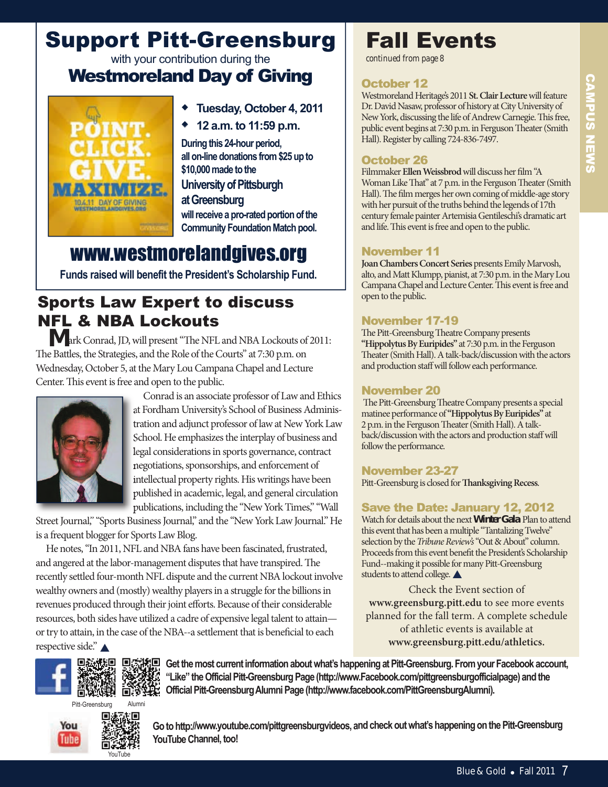## support Pitt-Greensburg with your contribution during the Westmoreland Day of Giving



- w **Tuesday, October 4, 2011**
- w **12 a.m. to 11:59 p.m.**

**During this 24-hour period, all on-line donations from \$25 up to \$10,000 made to the** 

## **University of Pittsburgh**

**at Greensburg will receive a pro-rated portion of the Community Foundation Match pool.**

## www.westmorelandgives.org

**Funds raised will benefit the President's Scholarship Fund.**

## **Sports Law Expert to discuss** NFL & NBA Lockouts

**M** ark Conrad, JD, will present "The NFL and NBA Lockouts of 2011: The Battles, the Strategies, and the Role of the Courts" at 7:30 p.m. on Wednesday, October 5, at the Mary Lou Campana Chapel and Lecture Center. This event is free and open to the public.



Conrad is an associate professor of Law and Ethics at Fordham University's School of Business Administration and adjunct professor of law at New York Law School. He emphasizes the interplay of business and legal considerations in sports governance, contract negotiations, sponsorships, and enforcement of intellectual property rights. His writings have been published in academic, legal, and general circulation publications, including the "New York Times," "Wall

Street Journal," "Sports Business Journal," and the "New York Law Journal." He is a frequent blogger for Sports Law Blog.

He notes, "In 2011, NFL and NBA fans have been fascinated, frustrated, and angered at the labor-management disputes that have transpired. The recently settled four-month NFL dispute and the current NBA lockout involve wealthy owners and (mostly) wealthy players in a struggle for the billions in revenues produced through their joint efforts. Because of their considerable resources, both sides have utilized a cadre of expensive legal talent to attain or try to attain, in the case of the NBA--a settlement that is beneficial to each respective side."



*continued from page 8*

#### October 12

Westmoreland Heritage's 2011 **St. Clair Lecture**will feature Dr. David Nasaw, professor of history at City University of New York, discussing the life of Andrew Carnegie. This free, public event begins at 7:30 p.m. in Ferguson Theater (Smith Hall). Register by calling 724-836-7497.

#### October 26

Filmmaker **Ellen Weissbrod**will discuss her film "A Woman Like That" at 7 p.m. in the Ferguson Theater (Smith Hall). The film merges her own coming of middle-age story with her pursuit of the truths behind the legends of 17th century female painter Artemisia Gentileschi's dramatic art and life. This event is free and open to the public.

#### November 11

Joan Chambers Concert Series presents Emily Marvosh, alto, and Matt Klumpp, pianist, at 7:30 p.m. in the Mary Lou Campana Chapel and Lecture Center. This event is free and open to the public.

#### November 17-19

The Pitt-Greensburg Theatre Company presents **"Hippolytus By Euripides"** at 7:30 p.m. in the Ferguson Theater (Smith Hall). A talk-back/discussion with the actors and production staff will follow each performance.

#### November 20

The Pitt-Greensburg Theatre Company presents a special matinee performance of **"Hippolytus By Euripides"** at 2 p.m. in the Ferguson Theater (Smith Hall). A talkback/discussion with the actors and production staff will follow the performance.

#### November 23-27

Pitt-Greensburg is closed for **Thanksgiving Recess**.

#### save the Date: January 12, 2012

Watch for details about the next **Winter Gala**. Plan to attend this event that has been a multiple "Tantalizing Twelve" selection by the Tribune Review's "Out & About" column. Proceeds from this event benefit the President's Scholarship Fund--making it possible for many Pitt-Greensburg students to attend college.  $\triangle$ 

Check the Event section of **www.greensburg.pitt.edu** to see more events planned for the fall term. A complete schedule of athletic events is available at **www.greensburg.pitt.edu/athletics.**



Pitt-Greensburg Alumni





**回發想回 回答规回 Get the most current information about what's happening at Pitt-Greensburg. From your Facebook account, "Like" the Official Pitt-Greensburg Page (http://www.Facebook.com/pittgreensburgofficialpage) and the DERETHERRY Official Pitt-Greensburg Alumni Page (http://www.facebook.com/PittGreensburgAlumni).** 

> **Go to http://www.youtube.com/pittgreensburgvideos, and check out what's happening on the Pitt-Greensburg YouTube Channel, too!**